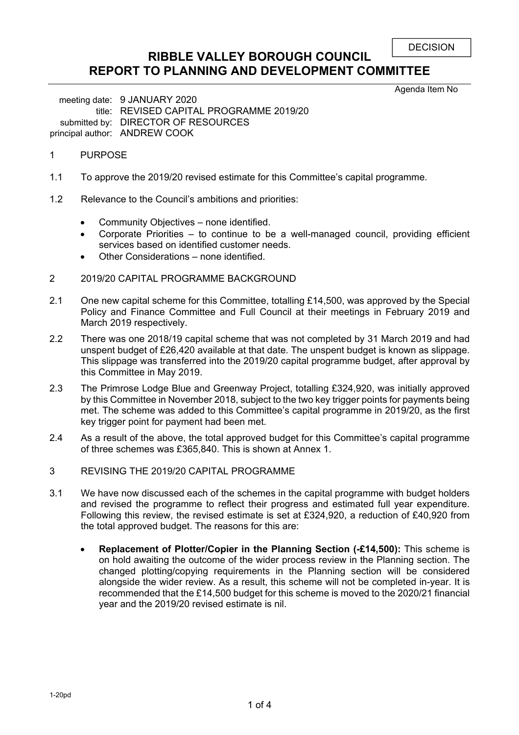```
DECISION
```
## **RIBBLE VALLEY BOROUGH COUNCIL REPORT TO PLANNING AND DEVELOPMENT COMMITTEE**

Agenda Item No

meeting date: 9 JANUARY 2020 title: REVISED CAPITAL PROGRAMME 2019/20 submitted by: DIRECTOR OF RESOURCES principal author: ANDREW COOK

- 1 PURPOSE
- 1.1 To approve the 2019/20 revised estimate for this Committee's capital programme.
- 1.2 Relevance to the Council's ambitions and priorities:
	- Community Objectives none identified.
	- Corporate Priorities to continue to be a well-managed council, providing efficient services based on identified customer needs.
	- Other Considerations none identified.
- 2 2019/20 CAPITAL PROGRAMME BACKGROUND
- 2.1 One new capital scheme for this Committee, totalling £14,500, was approved by the Special Policy and Finance Committee and Full Council at their meetings in February 2019 and March 2019 respectively.
- 2.2 There was one 2018/19 capital scheme that was not completed by 31 March 2019 and had unspent budget of £26,420 available at that date. The unspent budget is known as slippage. This slippage was transferred into the 2019/20 capital programme budget, after approval by this Committee in May 2019.
- 2.3 The Primrose Lodge Blue and Greenway Project, totalling £324,920, was initially approved by this Committee in November 2018, subject to the two key trigger points for payments being met. The scheme was added to this Committee's capital programme in 2019/20, as the first key trigger point for payment had been met.
- 2.4 As a result of the above, the total approved budget for this Committee's capital programme of three schemes was £365,840. This is shown at Annex 1.
- 3 REVISING THE 2019/20 CAPITAL PROGRAMME
- 3.1 We have now discussed each of the schemes in the capital programme with budget holders and revised the programme to reflect their progress and estimated full year expenditure. Following this review, the revised estimate is set at £324,920, a reduction of £40,920 from the total approved budget. The reasons for this are:
	- **Replacement of Plotter/Copier in the Planning Section (-£14,500):** This scheme is on hold awaiting the outcome of the wider process review in the Planning section. The changed plotting/copying requirements in the Planning section will be considered alongside the wider review. As a result, this scheme will not be completed in-year. It is recommended that the £14,500 budget for this scheme is moved to the 2020/21 financial year and the 2019/20 revised estimate is nil.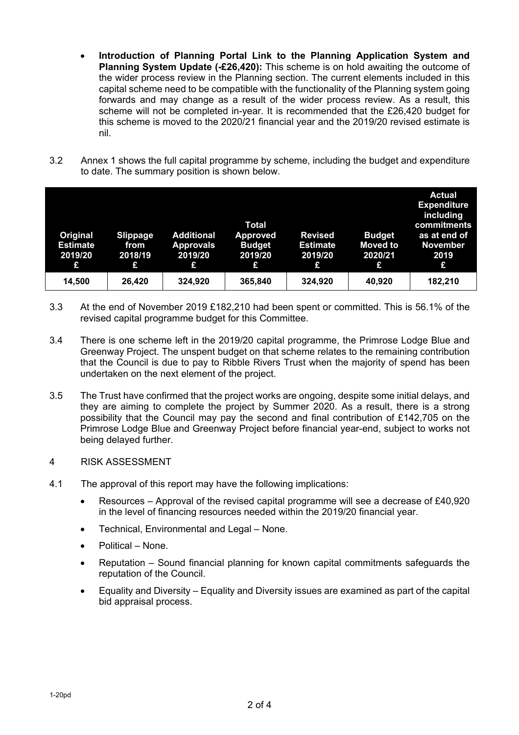- **Introduction of Planning Portal Link to the Planning Application System and Planning System Update (-£26,420):** This scheme is on hold awaiting the outcome of the wider process review in the Planning section. The current elements included in this capital scheme need to be compatible with the functionality of the Planning system going forwards and may change as a result of the wider process review. As a result, this scheme will not be completed in-year. It is recommended that the £26,420 budget for this scheme is moved to the 2020/21 financial year and the 2019/20 revised estimate is nil.
- 3.2 Annex 1 shows the full capital programme by scheme, including the budget and expenditure to date. The summary position is shown below.

| Original<br><b>Estimate</b><br>2019/20<br>£ | <b>Slippage</b><br>from<br>2018/19<br>£ | <b>Additional</b><br><b>Approvals</b><br>2019/20<br>£ | Total<br><b>Approved</b><br><b>Budget</b><br>2019/20<br>£ | <b>Revised</b><br><b>Estimate</b><br>2019/20<br>£ | <b>Budget</b><br><b>Moved to</b><br>2020/21<br>£ | <b>Actual</b><br><b>Expenditure</b><br>including<br>commitments<br>as at end of<br><b>November</b><br>2019<br>£ |
|---------------------------------------------|-----------------------------------------|-------------------------------------------------------|-----------------------------------------------------------|---------------------------------------------------|--------------------------------------------------|-----------------------------------------------------------------------------------------------------------------|
| 14,500                                      | 26,420                                  | 324,920                                               | 365,840                                                   | 324,920                                           | 40,920                                           | 182,210                                                                                                         |

- 3.3 At the end of November 2019 £182,210 had been spent or committed. This is 56.1% of the revised capital programme budget for this Committee.
- 3.4 There is one scheme left in the 2019/20 capital programme, the Primrose Lodge Blue and Greenway Project. The unspent budget on that scheme relates to the remaining contribution that the Council is due to pay to Ribble Rivers Trust when the majority of spend has been undertaken on the next element of the project.
- 3.5 The Trust have confirmed that the project works are ongoing, despite some initial delays, and they are aiming to complete the project by Summer 2020. As a result, there is a strong possibility that the Council may pay the second and final contribution of £142,705 on the Primrose Lodge Blue and Greenway Project before financial year-end, subject to works not being delayed further.

### 4 RISK ASSESSMENT

- 4.1 The approval of this report may have the following implications:
	- Resources Approval of the revised capital programme will see a decrease of £40,920 in the level of financing resources needed within the 2019/20 financial year.
	- Technical, Environmental and Legal None.
	- Political None.
	- Reputation Sound financial planning for known capital commitments safeguards the reputation of the Council.
	- Equality and Diversity Equality and Diversity issues are examined as part of the capital bid appraisal process.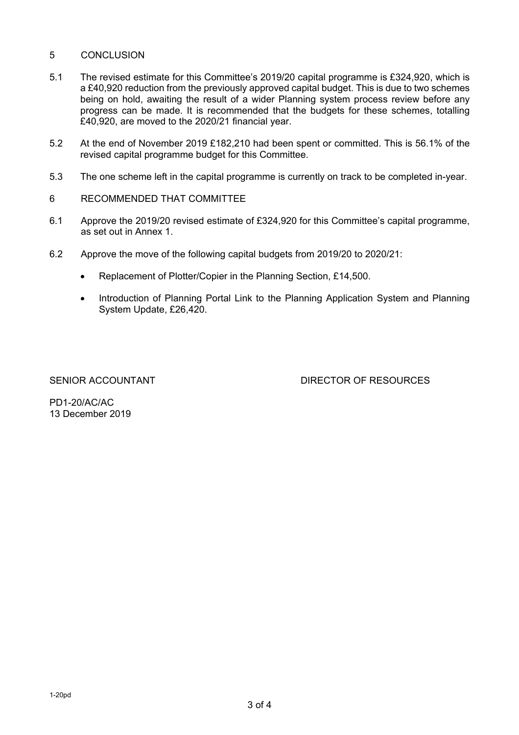## 5 CONCLUSION

- 5.1 The revised estimate for this Committee's 2019/20 capital programme is £324,920, which is a £40,920 reduction from the previously approved capital budget. This is due to two schemes being on hold, awaiting the result of a wider Planning system process review before any progress can be made. It is recommended that the budgets for these schemes, totalling £40,920, are moved to the 2020/21 financial year.
- 5.2 At the end of November 2019 £182,210 had been spent or committed. This is 56.1% of the revised capital programme budget for this Committee.
- 5.3 The one scheme left in the capital programme is currently on track to be completed in-year.
- 6 RECOMMENDED THAT COMMITTEE
- 6.1 Approve the 2019/20 revised estimate of £324,920 for this Committee's capital programme, as set out in Annex 1.
- 6.2 Approve the move of the following capital budgets from 2019/20 to 2020/21:
	- Replacement of Plotter/Copier in the Planning Section, £14,500.
	- Introduction of Planning Portal Link to the Planning Application System and Planning System Update, £26,420.

SENIOR ACCOUNTANT **Example 20 SENIOR ACCOUNTANT** DIRECTOR OF RESOURCES

PD1-20/AC/AC 13 December 2019